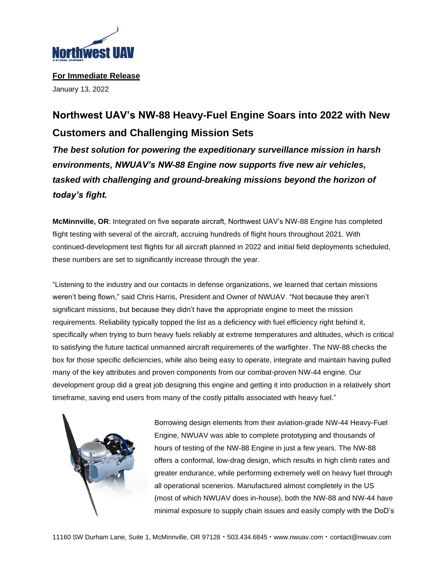

**For Immediate Release** January 13, 2022

## **Northwest UAV's NW-88 Heavy-Fuel Engine Soars into 2022 with New Customers and Challenging Mission Sets**

*The best solution for powering the expeditionary surveillance mission in harsh environments, NWUAV's NW-88 Engine now supports five new air vehicles, tasked with challenging and ground-breaking missions beyond the horizon of today's fight.*

**McMinnville, OR**: Integrated on five separate aircraft, Northwest UAV's NW-88 Engine has completed flight testing with several of the aircraft, accruing hundreds of flight hours throughout 2021. With continued-development test flights for all aircraft planned in 2022 and initial field deployments scheduled, these numbers are set to significantly increase through the year.

"Listening to the industry and our contacts in defense organizations, we learned that certain missions weren't being flown," said Chris Harris, President and Owner of NWUAV. "Not because they aren't significant missions, but because they didn't have the appropriate engine to meet the mission requirements. Reliability typically topped the list as a deficiency with fuel efficiency right behind it, specifically when trying to burn heavy fuels reliably at extreme temperatures and altitudes, which is critical to satisfying the future tactical unmanned aircraft requirements of the warfighter. The NW-88 checks the box for those specific deficiencies, while also being easy to operate, integrate and maintain having pulled many of the key attributes and proven components from our combat-proven NW-44 engine. Our development group did a great job designing this engine and getting it into production in a relatively short timeframe, saving end users from many of the costly pitfalls associated with heavy fuel."

Borrowing design elements from their aviation-grade NW-44 Heavy-Fuel Engine, NWUAV was able to complete prototyping and thousands of hours of testing of the NW-88 Engine in just a few years. The NW-88 offers a conformal, low-drag design, which results in high climb rates and greater endurance, while performing extremely well on heavy fuel through all operational scenerios. Manufactured almost completely in the US (most of which NWUAV does in-house), both the NW-88 and NW-44 have minimal exposure to supply chain issues and easily comply with the DoD's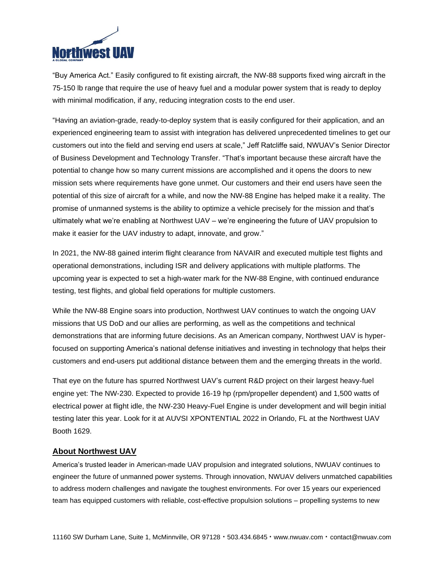

"Buy America Act." Easily configured to fit existing aircraft, the NW-88 supports fixed wing aircraft in the 75-150 lb range that require the use of heavy fuel and a modular power system that is ready to deploy with minimal modification, if any, reducing integration costs to the end user.

"Having an aviation-grade, ready-to-deploy system that is easily configured for their application, and an experienced engineering team to assist with integration has delivered unprecedented timelines to get our customers out into the field and serving end users at scale," Jeff Ratcliffe said, NWUAV's Senior Director of Business Development and Technology Transfer. "That's important because these aircraft have the potential to change how so many current missions are accomplished and it opens the doors to new mission sets where requirements have gone unmet. Our customers and their end users have seen the potential of this size of aircraft for a while, and now the NW-88 Engine has helped make it a reality. The promise of unmanned systems is the ability to optimize a vehicle precisely for the mission and that's ultimately what we're enabling at Northwest UAV – we're engineering the future of UAV propulsion to make it easier for the UAV industry to adapt, innovate, and grow."

In 2021, the NW-88 gained interim flight clearance from NAVAIR and executed multiple test flights and operational demonstrations, including ISR and delivery applications with multiple platforms. The upcoming year is expected to set a high-water mark for the NW-88 Engine, with continued endurance testing, test flights, and global field operations for multiple customers.

While the NW-88 Engine soars into production, Northwest UAV continues to watch the ongoing UAV missions that US DoD and our allies are performing, as well as the competitions and technical demonstrations that are informing future decisions. As an American company, Northwest UAV is hyperfocused on supporting America's national defense initiatives and investing in technology that helps their customers and end-users put additional distance between them and the emerging threats in the world.

That eye on the future has spurred Northwest UAV's current R&D project on their largest heavy-fuel engine yet: The NW-230. Expected to provide 16-19 hp (rpm/propeller dependent) and 1,500 watts of electrical power at flight idle, the NW-230 Heavy-Fuel Engine is under development and will begin initial testing later this year. Look for it at AUVSI XPONTENTIAL 2022 in Orlando, FL at the Northwest UAV Booth 1629.

## **About Northwest UAV**

America's trusted leader in American-made UAV propulsion and integrated solutions, NWUAV continues to engineer the future of unmanned power systems. Through innovation, NWUAV delivers unmatched capabilities to address modern challenges and navigate the toughest environments. For over 15 years our experienced team has equipped customers with reliable, cost-effective propulsion solutions – propelling systems to new